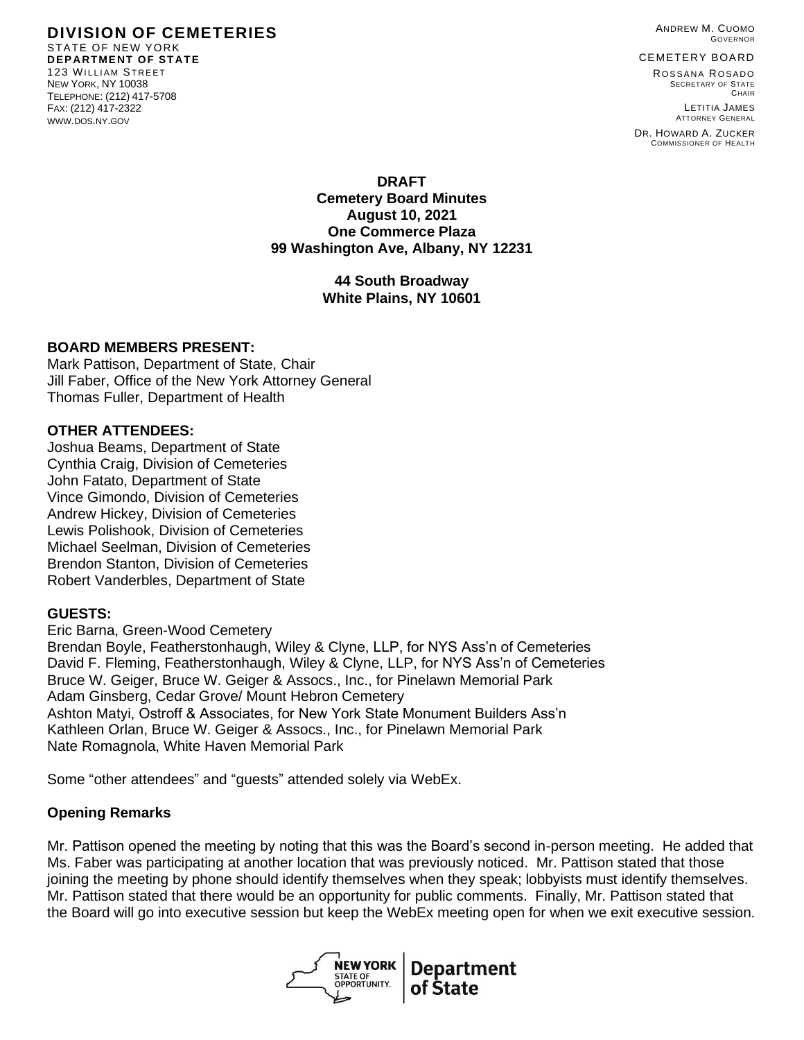**DIVISION OF CEMETERIES** STATE OF NEW YORK **DEPARTMENT OF STATE** 123 WILLIAM STREET NEW YORK, NY 10038 TELEPHONE: (212) 417-5708 FAX: (212) 417-2322 WWW.DOS.NY.GOV

ANDREW M. CUOMO GOVERNOR

CEMETERY BOARD

ROSSANA ROSADO SECRETARY OF STATE CHAIR LETITIA JAMES

ATTORNEY GENERAL DR. HOWARD A. ZUCKER COMMISSIONER OF HEALTH

#### **DRAFT Cemetery Board Minutes August 10, 2021 One Commerce Plaza 99 Washington Ave, Albany, NY 12231**

## **44 South Broadway White Plains, NY 10601**

### **BOARD MEMBERS PRESENT:**

Mark Pattison, Department of State, Chair Jill Faber, Office of the New York Attorney General Thomas Fuller, Department of Health

### **OTHER ATTENDEES:**

Joshua Beams, Department of State Cynthia Craig, Division of Cemeteries John Fatato, Department of State Vince Gimondo, Division of Cemeteries Andrew Hickey, Division of Cemeteries Lewis Polishook, Division of Cemeteries Michael Seelman, Division of Cemeteries Brendon Stanton, Division of Cemeteries Robert Vanderbles, Department of State

### **GUESTS:**

Eric Barna, Green-Wood Cemetery

Brendan Boyle, Featherstonhaugh, Wiley & Clyne, LLP, for NYS Ass'n of Cemeteries David F. Fleming, Featherstonhaugh, Wiley & Clyne, LLP, for NYS Ass'n of Cemeteries Bruce W. Geiger, Bruce W. Geiger & Assocs., Inc., for Pinelawn Memorial Park Adam Ginsberg, Cedar Grove/ Mount Hebron Cemetery Ashton Matyi, Ostroff & Associates, for New York State Monument Builders Ass'n Kathleen Orlan, Bruce W. Geiger & Assocs., Inc., for Pinelawn Memorial Park Nate Romagnola, White Haven Memorial Park

Some "other attendees" and "guests" attended solely via WebEx.

### **Opening Remarks**

Mr. Pattison opened the meeting by noting that this was the Board's second in-person meeting. He added that Ms. Faber was participating at another location that was previously noticed. Mr. Pattison stated that those joining the meeting by phone should identify themselves when they speak; lobbyists must identify themselves. Mr. Pattison stated that there would be an opportunity for public comments. Finally, Mr. Pattison stated that the Board will go into executive session but keep the WebEx meeting open for when we exit executive session.

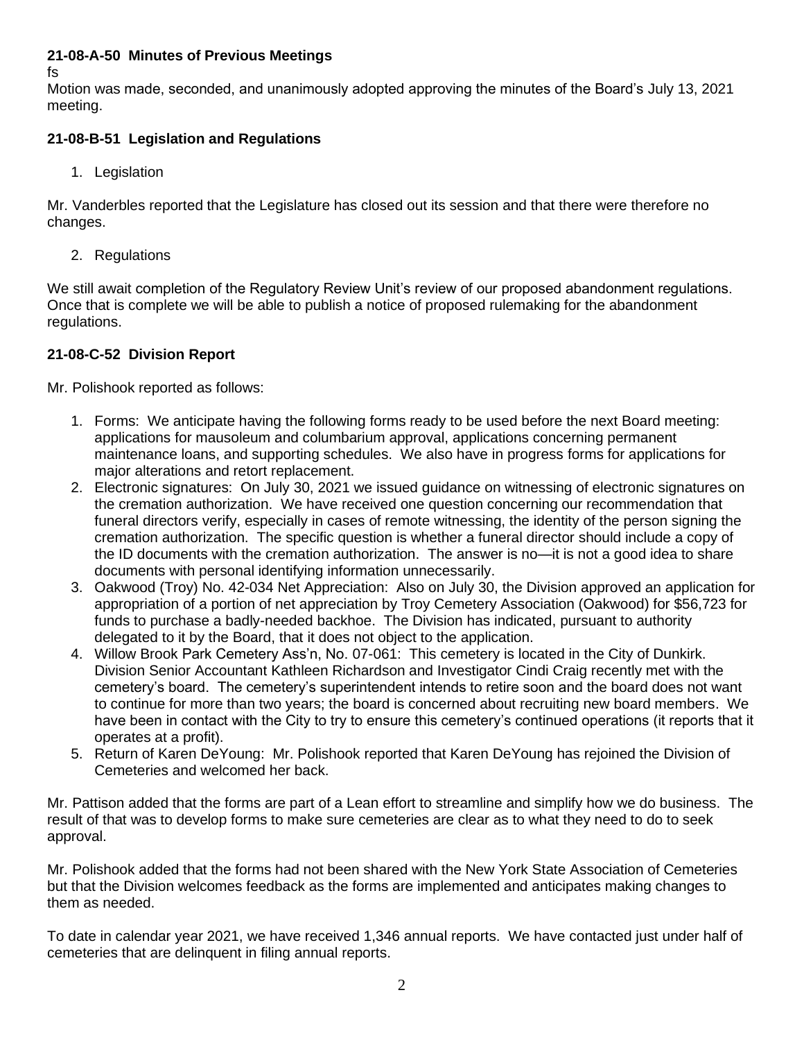# **21-08-A-50 Minutes of Previous Meetings**

fs

Motion was made, seconded, and unanimously adopted approving the minutes of the Board's July 13, 2021 meeting.

# **21-08-B-51 Legislation and Regulations**

1. Legislation

Mr. Vanderbles reported that the Legislature has closed out its session and that there were therefore no changes.

2. Regulations

We still await completion of the Regulatory Review Unit's review of our proposed abandonment regulations. Once that is complete we will be able to publish a notice of proposed rulemaking for the abandonment regulations.

# **21-08-C-52 Division Report**

Mr. Polishook reported as follows:

- 1. Forms: We anticipate having the following forms ready to be used before the next Board meeting: applications for mausoleum and columbarium approval, applications concerning permanent maintenance loans, and supporting schedules. We also have in progress forms for applications for major alterations and retort replacement.
- 2. Electronic signatures: On July 30, 2021 we issued guidance on witnessing of electronic signatures on the cremation authorization. We have received one question concerning our recommendation that funeral directors verify, especially in cases of remote witnessing, the identity of the person signing the cremation authorization. The specific question is whether a funeral director should include a copy of the ID documents with the cremation authorization. The answer is no—it is not a good idea to share documents with personal identifying information unnecessarily.
- 3. Oakwood (Troy) No. 42-034 Net Appreciation: Also on July 30, the Division approved an application for appropriation of a portion of net appreciation by Troy Cemetery Association (Oakwood) for \$56,723 for funds to purchase a badly-needed backhoe. The Division has indicated, pursuant to authority delegated to it by the Board, that it does not object to the application.
- 4. Willow Brook Park Cemetery Ass'n, No. 07-061: This cemetery is located in the City of Dunkirk. Division Senior Accountant Kathleen Richardson and Investigator Cindi Craig recently met with the cemetery's board. The cemetery's superintendent intends to retire soon and the board does not want to continue for more than two years; the board is concerned about recruiting new board members. We have been in contact with the City to try to ensure this cemetery's continued operations (it reports that it operates at a profit).
- 5. Return of Karen DeYoung: Mr. Polishook reported that Karen DeYoung has rejoined the Division of Cemeteries and welcomed her back.

Mr. Pattison added that the forms are part of a Lean effort to streamline and simplify how we do business. The result of that was to develop forms to make sure cemeteries are clear as to what they need to do to seek approval.

Mr. Polishook added that the forms had not been shared with the New York State Association of Cemeteries but that the Division welcomes feedback as the forms are implemented and anticipates making changes to them as needed.

To date in calendar year 2021, we have received 1,346 annual reports. We have contacted just under half of cemeteries that are delinquent in filing annual reports.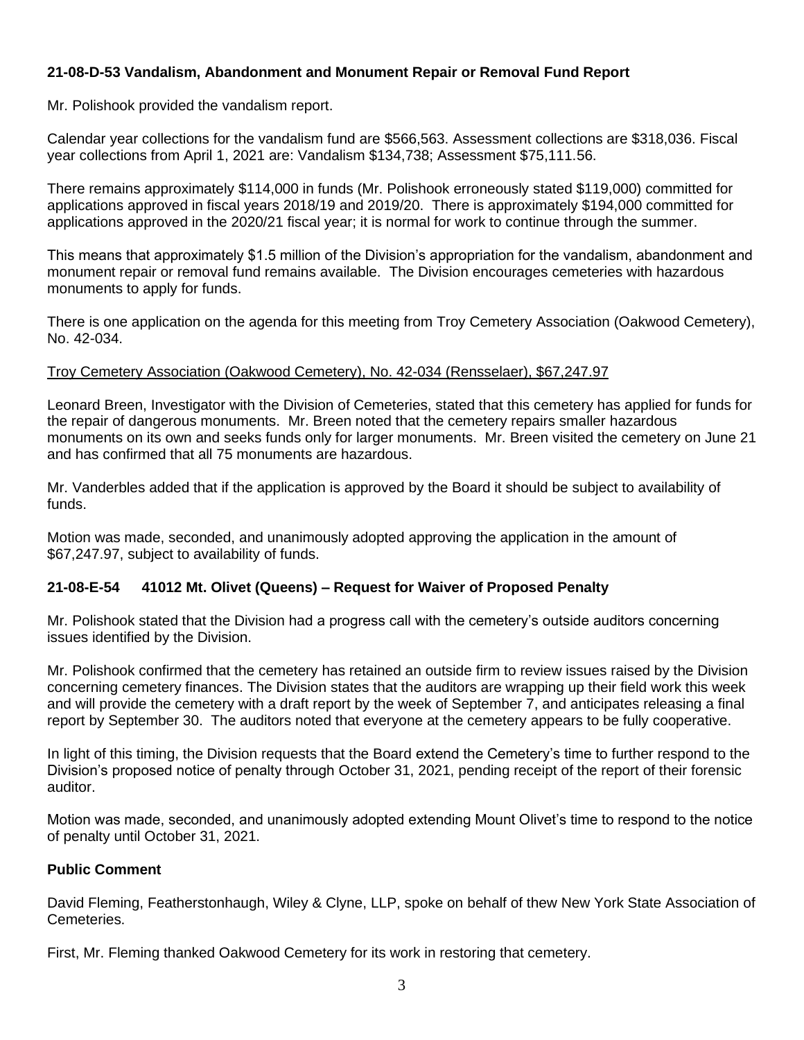# **21-08-D-53 Vandalism, Abandonment and Monument Repair or Removal Fund Report**

Mr. Polishook provided the vandalism report.

Calendar year collections for the vandalism fund are \$566,563. Assessment collections are \$318,036. Fiscal year collections from April 1, 2021 are: Vandalism \$134,738; Assessment \$75,111.56.

There remains approximately \$114,000 in funds (Mr. Polishook erroneously stated \$119,000) committed for applications approved in fiscal years 2018/19 and 2019/20. There is approximately \$194,000 committed for applications approved in the 2020/21 fiscal year; it is normal for work to continue through the summer.

This means that approximately \$1.5 million of the Division's appropriation for the vandalism, abandonment and monument repair or removal fund remains available. The Division encourages cemeteries with hazardous monuments to apply for funds.

There is one application on the agenda for this meeting from Troy Cemetery Association (Oakwood Cemetery), No. 42-034.

## Troy Cemetery Association (Oakwood Cemetery), No. 42-034 (Rensselaer), \$67,247.97

Leonard Breen, Investigator with the Division of Cemeteries, stated that this cemetery has applied for funds for the repair of dangerous monuments. Mr. Breen noted that the cemetery repairs smaller hazardous monuments on its own and seeks funds only for larger monuments. Mr. Breen visited the cemetery on June 21 and has confirmed that all 75 monuments are hazardous.

Mr. Vanderbles added that if the application is approved by the Board it should be subject to availability of funds.

Motion was made, seconded, and unanimously adopted approving the application in the amount of \$67,247.97, subject to availability of funds.

# **21-08-E-54 41012 Mt. Olivet (Queens) – Request for Waiver of Proposed Penalty**

Mr. Polishook stated that the Division had a progress call with the cemetery's outside auditors concerning issues identified by the Division.

Mr. Polishook confirmed that the cemetery has retained an outside firm to review issues raised by the Division concerning cemetery finances. The Division states that the auditors are wrapping up their field work this week and will provide the cemetery with a draft report by the week of September 7, and anticipates releasing a final report by September 30. The auditors noted that everyone at the cemetery appears to be fully cooperative.

In light of this timing, the Division requests that the Board extend the Cemetery's time to further respond to the Division's proposed notice of penalty through October 31, 2021, pending receipt of the report of their forensic auditor.

Motion was made, seconded, and unanimously adopted extending Mount Olivet's time to respond to the notice of penalty until October 31, 2021.

### **Public Comment**

David Fleming, Featherstonhaugh, Wiley & Clyne, LLP, spoke on behalf of thew New York State Association of Cemeteries.

First, Mr. Fleming thanked Oakwood Cemetery for its work in restoring that cemetery.